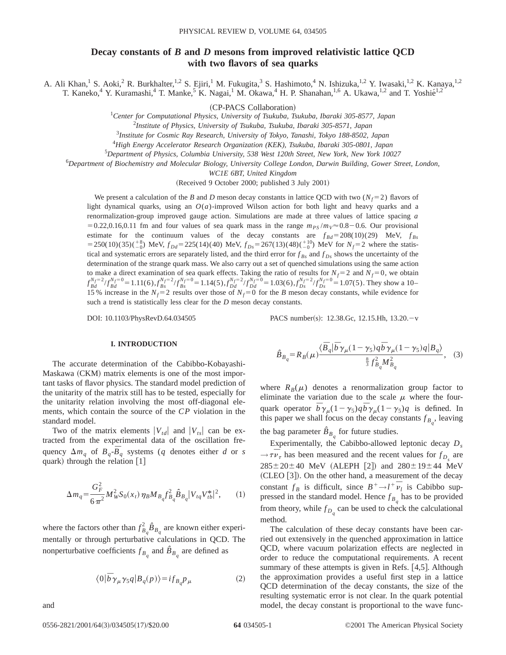# **Decay constants of** *B* **and** *D* **mesons from improved relativistic lattice QCD with two flavors of sea quarks**

A. Ali Khan,<sup>1</sup> S. Aoki,<sup>2</sup> R. Burkhalter,<sup>1,2</sup> S. Ejiri,<sup>1</sup> M. Fukugita,<sup>3</sup> S. Hashimoto,<sup>4</sup> N. Ishizuka,<sup>1,2</sup> Y. Iwasaki,<sup>1,2</sup> K. Kanaya,<sup>1,2</sup> T. Kaneko,<sup>4</sup> Y. Kuramashi,<sup>4</sup> T. Manke,<sup>5</sup> K. Nagai,<sup>1</sup> M. Okawa,<sup>4</sup> H. P. Shanahan,<sup>1,6</sup> A. Ukawa,<sup>1,2</sup> and T. Yoshié<sup>1,2</sup>

<sup>~</sup>CP-PACS Collaboration! <sup>1</sup> *Center for Computational Physics, University of Tsukuba, Tsukuba, Ibaraki 305-8577, Japan*

2 *Institute of Physics, University of Tsukuba, Tsukuba, Ibaraki 305-8571, Japan*

3 *Institute for Cosmic Ray Research, University of Tokyo, Tanashi, Tokyo 188-8502, Japan*

4 *High Energy Accelerator Research Organization (KEK), Tsukuba, Ibaraki 305-0801, Japan*

5 *Department of Physics, Columbia University, 538 West 120th Street, New York, New York 10027*

6 *Department of Biochemistry and Molecular Biology, University College London, Darwin Building, Gower Street, London,*

*WC1E 6BT, United Kingdom*

(Received 9 October 2000; published 3 July 2001)

We present a calculation of the *B* and *D* meson decay constants in lattice QCD with two  $(N_f=2)$  flavors of light dynamical quarks, using an *O*(*a*)-improved Wilson action for both light and heavy quarks and a renormalization-group improved gauge action. Simulations are made at three values of lattice spacing *a*  $=0.22,0.16,0.11$  fm and four values of sea quark mass in the range  $m_{PS}/m_V \approx 0.8-0.6$ . Our provisional estimate for the continuum values of the decay constants are  $f_{Bd} = 208(10)(29)$  MeV,  $f_{Bs}$  $= 250(10)(35)(\frac{18}{-0})$  MeV,  $f_{Dd} = 225(14)(40)$  MeV,  $f_{Ds} = 267(13)(48)(\frac{110}{-0})$  MeV for  $N_f = 2$  where the statistical and systematic errors are separately listed, and the third error for  $f_{Bs}$  and  $f_{Ds}$  shows the uncertainty of the determination of the strange quark mass. We also carry out a set of quenched simulations using the same action to make a direct examination of sea quark effects. Taking the ratio of results for  $N_f = 2$  and  $N_f = 0$ , we obtain  $f_{Bd}^{N_f=2}/f_{Bd}^{N_f=0} = 1.11(6)$ ,  $f_{Bs}^{N_f=2}/f_{Bs}^{N_f=0} = 1.14(5)$ ,  $f_{Dd}^{N_f=2}/f_{Dd}^{N_f=0} = 1.03(6)$ ,  $f_{Ds}^{N_f=2}/f_{Ds}^{N_f=0} = 1.07(5)$ . They show a 10-15 % increase in the  $N_f=2$  results over those of  $N_f=0$  for the *B* meson decay constants, while evidence for such a trend is statistically less clear for the *D* meson decay constants.

DOI: 10.1103/PhysRevD.64.034505 PACS number(s): 12.38.Gc, 12.15.Hh, 13.20.-v

# **I. INTRODUCTION**

The accurate determination of the Cabibbo-Kobayashi-Maskawa (CKM) matrix elements is one of the most important tasks of flavor physics. The standard model prediction of the unitarity of the matrix still has to be tested, especially for the unitarity relation involving the most off-diagonal elements, which contain the source of the *CP* violation in the standard model.

Two of the matrix elements  $|V_{td}|$  and  $|V_{ts}|$  can be extracted from the experimental data of the oscillation frequency  $\Delta m_q$  of  $B_q$ - $\overline{B}_q$  systems (*q* denotes either *d* or *s* quark) through the relation  $[1]$ 

$$
\Delta m_q = \frac{G_F^2}{6\pi^2} M_W^2 S_0(x_t) \eta_B M_{B_q} f_{B_q}^2 \hat{B}_{B_q} |V_{tq} V_{tb}^*|^2, \qquad (1)
$$

where the factors other than  $f_{B_q}^2 \hat{B}_{B_q}$  are known either experimentally or through perturbative calculations in QCD. The nonperturbative coefficients  $f_{B_q}$  and  $\hat{B}_{B_q}$  are defined as

$$
\langle 0|\overline{b}\gamma_{\mu}\gamma_{5}q|B_{q}(p)\rangle = i f_{B_{q}}p_{\mu}
$$
 (2)

and

$$
\hat{B}_{B_q} = R_B(\mu) \frac{\langle \bar{B}_q | \bar{b} \gamma_\mu (1 - \gamma_5) q \bar{b} \gamma_\mu (1 - \gamma_5) q | B_q \rangle}{\frac{8}{3} f_{B_q}^2 M_{B_q}^2}, \quad (3)
$$

where  $R_B(\mu)$  denotes a renormalization group factor to eliminate the variation due to the scale  $\mu$  where the fourquark operator  $\bar{b}\gamma_{\mu}(1-\gamma_5)q\bar{b}\gamma_{\mu}(1-\gamma_5)q$  is defined. In this paper we shall focus on the decay constants  $f_{B_q}$ , leaving the bag parameter  $\hat{B}_{B_a}$  for future studies.

Experimentally, the Cabibbo-allowed leptonic decay *Ds*  $\rightarrow \tau \bar{\nu}_{\tau}$  has been measured and the recent values for  $f_{D_s}$  are  $285 \pm 20 \pm 40$  MeV (ALEPH [2]) and  $280 \pm 19 \pm 44$  MeV  $(CLEO [3])$ . On the other hand, a measurement of the decay constant  $f_B$  is difficult, since  $B^+ \rightarrow l^+ \bar{\nu}_l$  is Cabibbo suppressed in the standard model. Hence  $f_{B_q}$  has to be provided from theory, while  $f_{D_q}$  can be used to check the calculational method.

The calculation of these decay constants have been carried out extensively in the quenched approximation in lattice QCD, where vacuum polarization effects are neglected in order to reduce the computational requirements. A recent summary of these attempts is given in Refs.  $[4,5]$ . Although the approximation provides a useful first step in a lattice QCD determination of the decay constants, the size of the resulting systematic error is not clear. In the quark potential model, the decay constant is proportional to the wave func-

0556-2821/2001/64(3)/034505(17)/\$20.00 **64** 034505-1 ©2001 The American Physical Society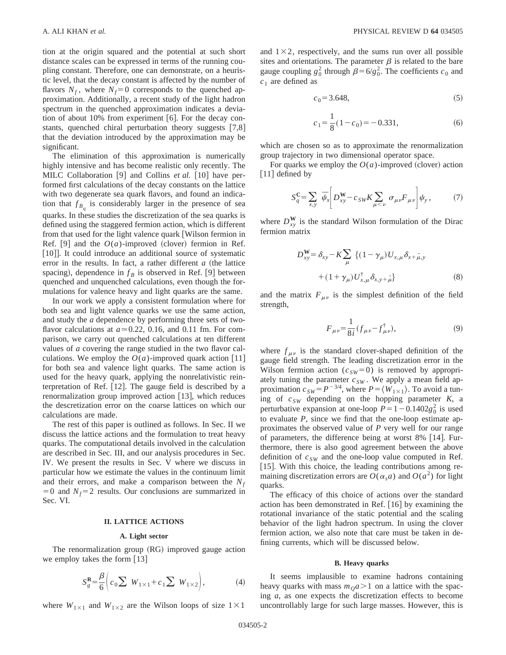tion at the origin squared and the potential at such short distance scales can be expressed in terms of the running coupling constant. Therefore, one can demonstrate, on a heuristic level, that the decay constant is affected by the number of flavors  $N_f$ , where  $N_f$ =0 corresponds to the quenched approximation. Additionally, a recent study of the light hadron spectrum in the quenched approximation indicates a deviation of about 10% from experiment  $[6]$ . For the decay constants, quenched chiral perturbation theory suggests  $[7,8]$ that the deviation introduced by the approximation may be significant.

The elimination of this approximation is numerically highly intensive and has become realistic only recently. The MILC Collaboration [9] and Collins *et al.* [10] have performed first calculations of the decay constants on the lattice with two degenerate sea quark flavors, and found an indication that  $f_{B_a}$  is considerably larger in the presence of sea quarks. In these studies the discretization of the sea quarks is defined using the staggered fermion action, which is different from that used for the light valence quark [Wilson fermion in Ref. [9] and the  $O(a)$ -improved (clover) fermion in Ref. [10]. It could introduce an additional source of systematic error in the results. In fact, a rather different  $a$  (the lattice spacing), dependence in  $f_B$  is observed in Ref. [9] between quenched and unquenched calculations, even though the formulations for valence heavy and light quarks are the same.

In our work we apply a consistent formulation where for both sea and light valence quarks we use the same action, and study the *a* dependence by performing three sets of twoflavor calculations at  $a \approx 0.22$ , 0.16, and 0.11 fm. For comparison, we carry out quenched calculations at ten different values of *a* covering the range studied in the two flavor calculations. We employ the  $O(a)$ -improved quark action [11] for both sea and valence light quarks. The same action is used for the heavy quark, applying the nonrelativistic reinterpretation of Ref.  $[12]$ . The gauge field is described by a renormalization group improved action  $[13]$ , which reduces the descretization error on the coarse lattices on which our calculations are made.

The rest of this paper is outlined as follows. In Sec. II we discuss the lattice actions and the formulation to treat heavy quarks. The computational details involved in the calculation are described in Sec. III, and our analysis procedures in Sec. IV. We present the results in Sec. V where we discuss in particular how we estimate the values in the continuum limit and their errors, and make a comparison between the  $N_f$  $=0$  and  $N_f=2$  results. Our conclusions are summarized in Sec. VI.

### **II. LATTICE ACTIONS**

## **A. Light sector**

The renormalization group  $(RG)$  improved gauge action we employ takes the form  $[13]$ 

$$
S_g^{\mathbf{R}} = \frac{\beta}{6} \left( c_0 \sum W_{1 \times 1} + c_1 \sum W_{1 \times 2} \right), \tag{4}
$$

where  $W_{1\times1}$  and  $W_{1\times2}$  are the Wilson loops of size  $1\times1$ 

and  $1\times2$ , respectively, and the sums run over all possible sites and orientations. The parameter  $\beta$  is related to the bare gauge coupling  $g_0^2$  through  $\beta = 6/g_0^2$ . The coefficients  $c_0$  and *c*<sup>1</sup> are defined as

$$
c_0 = 3.648,\t(5)
$$

$$
c_1 = \frac{1}{8}(1 - c_0) = -0.331,
$$
 (6)

which are chosen so as to approximate the renormalization group trajectory in two dimensional operator space.

For quarks we employ the  $O(a)$ -improved (clover) action  $\lceil 11 \rceil$  defined by

$$
S_q^{\mathbf{C}} = \sum_{x,y} \overline{\psi}_x \left[ D_{xy}^{\mathbf{W}} - c_{SW} K \sum_{\mu < \nu} \sigma_{\mu\nu} F_{\mu\nu} \right] \psi_y, \tag{7}
$$

where  $D_{xy}^{\mathbf{W}}$  is the standard Wilson formulation of the Dirac fermion matrix

$$
D_{xy}^{\mathbf{W}} = \delta_{xy} - K \sum_{\mu} \left\{ (1 - \gamma_{\mu}) U_{x,\mu} \delta_{x + \hat{\mu},y} \right. + (1 + \gamma_{\mu}) U_{x,\mu}^{\dagger} \delta_{x,y + \hat{\mu}} \right\}
$$
 (8)

and the matrix  $F_{\mu\nu}$  is the simplest definition of the field strength,

$$
F_{\mu\nu} = \frac{1}{8i} (f_{\mu\nu} - f_{\mu\nu}^{\dagger}), \tag{9}
$$

where  $f_{\mu\nu}$  is the standard clover-shaped definition of the gauge field strength. The leading discretization error in the Wilson fermion action  $(c_{SW}=0)$  is removed by appropriately tuning the parameter  $c_{SW}$ . We apply a mean field approximation  $c_{SW} = P^{-3/4}$ , where  $P = \langle W_{1 \times 1} \rangle$ . To avoid a tuning of  $c_{SW}$  depending on the hopping parameter  $K$ , a perturbative expansion at one-loop  $P=1-0.1402g_0^2$  is used to evaluate *P*, since we find that the one-loop estimate approximates the observed value of *P* very well for our range of parameters, the difference being at worst  $8\%$  [14]. Furthermore, there is also good agreement between the above definition of  $c_{SW}$  and the one-loop value computed in Ref. [15]. With this choice, the leading contributions among remaining discretization errors are  $O(\alpha_s a)$  and  $O(a^2)$  for light quarks.

The efficacy of this choice of actions over the standard action has been demonstrated in Ref.  $[16]$  by examining the rotational invariance of the static potential and the scaling behavior of the light hadron spectrum. In using the clover fermion action, we also note that care must be taken in defining currents, which will be discussed below.

## **B. Heavy quarks**

It seems implausible to examine hadrons containing heavy quarks with mass  $m<sub>0</sub>a>1$  on a lattice with the spacing *a*, as one expects the discretization effects to become uncontrollably large for such large masses. However, this is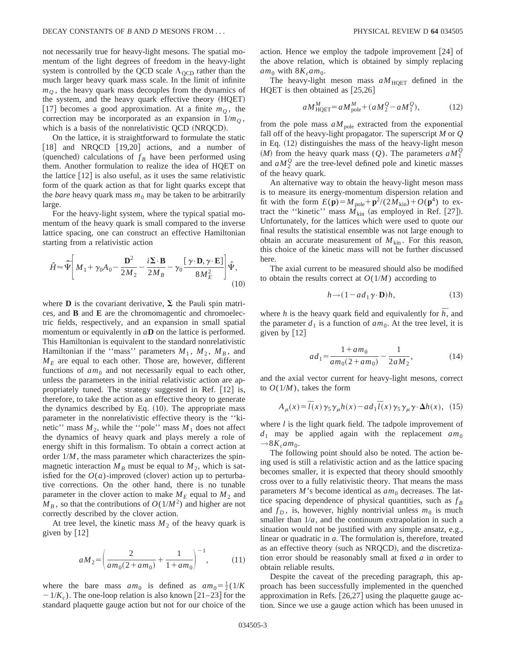not necessarily true for heavy-light mesons. The spatial momentum of the light degrees of freedom in the heavy-light system is controlled by the QCD scale  $\Lambda_{\text{OCD}}$  rather than the much larger heavy quark mass scale. In the limit of infinite  $m<sub>O</sub>$ , the heavy quark mass decouples from the dynamics of the system, and the heavy quark effective theory (HQET) [17] becomes a good approximation. At a finite  $m<sub>Q</sub>$ , the correction may be incorporated as an expansion in  $1/m<sub>O</sub>$ , which is a basis of the nonrelativistic QCD (NRQCD).

On the lattice, it is straightforward to formulate the static  $[18]$  and NRQCD  $[19,20]$  actions, and a number of (quenched) calculations of  $f_B$  have been performed using them. Another formulation to realize the idea of HQET on the lattice  $\lceil 12 \rceil$  is also useful, as it uses the same relativistic form of the quark action as that for light quarks except that the *bare* heavy quark mass  $m_0$  may be taken to be arbitrarily large.

For the heavy-light system, where the typical spatial momentum of the heavy quark is small compared to the inverse lattice spacing, one can construct an effective Hamiltonian starting from a relativistic action

$$
\hat{H} \approx \hat{\hat{\Psi}} \left[ M_1 + \gamma_0 A_0 - \frac{\mathbf{D}^2}{2M_2} - \frac{i\mathbf{\Sigma} \cdot \mathbf{B}}{2M_B} - \gamma_0 \frac{[\gamma \cdot \mathbf{D}, \gamma \cdot \mathbf{E}]}{8M_E^2} \right] \hat{\Psi},\tag{10}
$$

where **D** is the covariant derivative,  $\Sigma$  the Pauli spin matrices, and **B** and **E** are the chromomagentic and chromoelectric fields, respectively, and an expansion in small spatial momentum or equivalently in *a***D** on the lattice is performed. This Hamiltonian is equivalent to the standard nonrelativistic Hamiltonian if the "mass" parameters  $M_1$ ,  $M_2$ ,  $M_B$ , and  $M_E$  are equal to each other. Those are, however, different functions of  $am_0$  and not necessarily equal to each other, unless the parameters in the initial relativistic action are appropriately tuned. The strategy suggested in Ref.  $[12]$  is, therefore, to take the action as an effective theory to generate the dynamics described by Eq.  $(10)$ . The appropriate mass parameter in the nonrelativistic effective theory is the ''kinetic'' mass  $M_2$ , while the "pole" mass  $M_1$  does not affect the dynamics of heavy quark and plays merely a role of energy shift in this formalism. To obtain a correct action at order  $1/M$ , the mass parameter which characterizes the spinmagnetic interaction  $M_B$  must be equal to  $M_2$ , which is satisfied for the  $O(a)$ -improved (clover) action up to perturbative corrections. On the other hand, there is no tunable parameter in the clover action to make  $M_E$  equal to  $M_2$  and  $M_B$ , so that the contributions of  $O(1/M^2)$  and higher are not correctly described by the clover action.

At tree level, the kinetic mass  $M<sub>2</sub>$  of the heavy quark is given by  $\lceil 12 \rceil$ 

$$
aM_2 = \left(\frac{2}{am_0(2 + am_0)} + \frac{1}{1 + am_0}\right)^{-1},\tag{11}
$$

where the bare mass  $am_0$  is defined as  $am_0 = \frac{1}{2}(1/K)$  $-1/K_c$ ). The one-loop relation is also known [21–23] for the standard plaquette gauge action but not for our choice of the action. Hence we employ the tadpole improvement  $|24|$  of the above relation, which is obtained by simply replacing  $am_0$  with  $8K_cam_0$ .

The heavy-light meson mass  $aM_{\text{HOFF}}$  defined in the HQET is then obtained as  $[25,26]$ 

$$
aM_{\text{HQET}}^M = aM_{\text{pole}}^M + (aM_2^Q - aM_1^Q),\tag{12}
$$

from the pole mass  $aM_{\text{pole}}$  extracted from the exponential fall off of the heavy-light propagator. The superscript *M* or *Q* in Eq.  $(12)$  distinguishes the mass of the heavy-light meson (*M*) from the heavy quark mass (*Q*). The parameters  $aM_1^Q$ and  $aM_2^Q$  are the tree-level defined pole and kinetic masses of the heavy quark.

An alternative way to obtain the heavy-light meson mass is to measure its energy-momentum dispersion relation and fit with the form  $E(\mathbf{p}) = M_{\text{pole}} + \mathbf{p}^2/(2M_{\text{kin}}) + O(\mathbf{p}^4)$  to extract the "kinetic" mass  $M_{kin}$  (as employed in Ref. [27]). Unfortunately, for the lattices which were used to quote our final results the statistical ensemble was not large enough to obtain an accurate measurement of  $M_{kin}$ . For this reason, this choice of the kinetic mass will not be further discussed here.

The axial current to be measured should also be modified to obtain the results correct at  $O(1/M)$  according to

$$
h \rightarrow (1 - ad_1 \gamma \cdot \mathbf{D})h, \tag{13}
$$

where *h* is the heavy quark field and equivalently for  $\bar{h}$ , and the parameter  $d_1$  is a function of  $am_0$ . At the tree level, it is given by  $\lceil 12 \rceil$ 

$$
ad_1 = \frac{1 + am_0}{am_0(2 + am_0)} - \frac{1}{2aM_2},
$$
\n(14)

and the axial vector current for heavy-light mesons, correct to  $O(1/M)$ , takes the form

$$
A_{\mu}(x) = \overline{I}(x)\gamma_5\gamma_{\mu}h(x) - ad_1\overline{I}(x)\gamma_5\gamma_{\mu}\gamma \cdot \Delta h(x), \quad (15)
$$

where *l* is the light quark field. The tadpole improvement of  $d_1$  may be applied again with the replacement  $am_0$  $\rightarrow$ 8 $K_c$ am<sub>0</sub>.

The following point should also be noted. The action being used is still a relativistic action and as the lattice spacing becomes smaller, it is expected that theory should smoothly cross over to a fully relativistic theory. That means the mass parameters  $M$ 's become identical as  $am_0$  decreases. The lattice spacing dependence of physical quantities, such as  $f_B$ and  $f_D$ , is, however, highly nontrivial unless  $m_0$  is much smaller than  $1/a$ , and the continuum extrapolation in such a situation would not be justified with any simple ansatz, e.g., linear or quadratic in *a*. The formulation is, therefore, treated as an effective theory (such as NRQCD), and the discretization error should be reasonably small at fixed *a* in order to obtain reliable results.

Despite the caveat of the preceding paragraph, this approach has been successfully implemented in the quenched approximation in Refs.  $[26,27]$  using the plaquette gauge action. Since we use a gauge action which has been unused in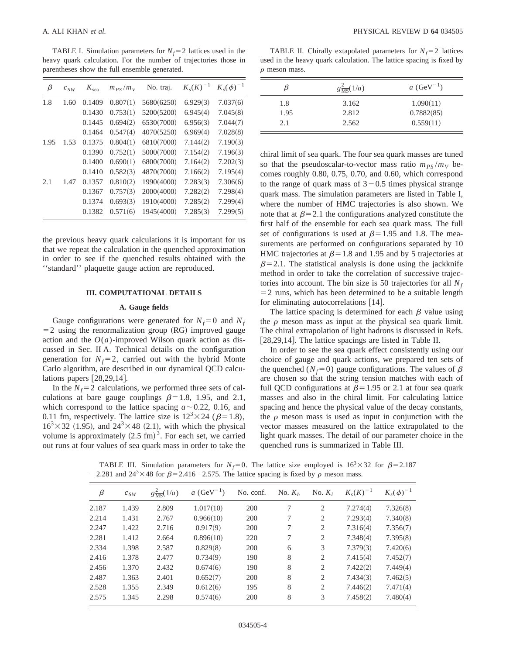TABLE I. Simulation parameters for  $N_f$ = 2 lattices used in the heavy quark calculation. For the number of trajectories those in parentheses show the full ensemble generated.

| β    | $c_{SW}$ | $K_{\text{sea}}$ | $m_{PS}/m_V$ | No. traj.  | $K_{s}(K)^{-1}$ | $K_{s}(\phi)^{-1}$ |
|------|----------|------------------|--------------|------------|-----------------|--------------------|
| 1.8  | 1.60     | 0.1409           | 0.807(1)     | 5680(6250) | 6.929(3)        | 7.037(6)           |
|      |          | 0.1430           | 0.753(1)     | 5200(5200) | 6.945(4)        | 7.045(8)           |
|      |          | 0.1445           | 0.694(2)     | 6530(7000) | 6.956(3)        | 7.044(7)           |
|      |          | 0.1464           | 0.547(4)     | 4070(5250) | 6.969(4)        | 7.028(8)           |
| 1.95 | 1.53     | 0.1375           | 0.804(1)     | 6810(7000) | 7.144(2)        | 7.190(3)           |
|      |          | 0.1390           | 0.752(1)     | 5000(7000) | 7.154(2)        | 7.196(3)           |
|      |          | 0.1400           | 0.690(1)     | 6800(7000) | 7.164(2)        | 7.202(3)           |
|      |          | 0.1410           | 0.582(3)     | 4870(7000) | 7.166(2)        | 7.195(4)           |
| 2.1  | 1.47     | 0.1357           | 0.810(2)     | 1990(4000) | 7.283(3)        | 7.306(6)           |
|      |          | 0.1367           | 0.757(3)     | 2000(4000) | 7.282(2)        | 7.298(4)           |
|      |          | 0.1374           | 0.693(3)     | 1910(4000) | 7.285(2)        | 7.299(4)           |
|      |          | 0.1382           | 0.571(6)     | 1945(4000) | 7.285(3)        | 7.299(5)           |
|      |          |                  |              |            |                 |                    |

the previous heavy quark calculations it is important for us that we repeat the calculation in the quenched approximation in order to see if the quenched results obtained with the ''standard'' plaquette gauge action are reproduced.

# **III. COMPUTATIONAL DETAILS**

#### **A. Gauge fields**

Gauge configurations were generated for  $N_f=0$  and  $N_f$  $=$  2 using the renormalization group (RG) improved gauge action and the  $O(a)$ -improved Wilson quark action as discussed in Sec. II A. Technical details on the configuration generation for  $N_f=2$ , carried out with the hybrid Monte Carlo algorithm, are described in our dynamical QCD calculations papers  $[28,29,14]$ .

In the  $N_f$ =2 calculations, we performed three sets of calculations at bare gauge couplings  $\beta=1.8$ , 1.95, and 2.1, which correspond to the lattice spacing  $a \sim 0.22$ , 0.16, and 0.11 fm, respectively. The lattice size is  $12^{3} \times 24$  ( $\beta=1.8$ ),  $16<sup>3</sup>\times 32$  (1.95), and  $24<sup>3</sup>\times 48$  (2.1), with which the physical volume is approximately  $(2.5 \text{ fm})^3$ . For each set, we carried out runs at four values of sea quark mass in order to take the

TABLE II. Chirally extapolated parameters for  $N_f=2$  lattices used in the heavy quark calculation. The lattice spacing is fixed by  $\rho$  meson mass.

|      | $g\frac{2}{MS}(1/a)$ | <i>a</i> (GeV <sup>-1</sup> ) |
|------|----------------------|-------------------------------|
| 1.8  | 3.162                | 1.090(11)                     |
| 1.95 | 2.812                | 0.7882(85)                    |
| 2.1  | 2.562                | 0.559(11)                     |

chiral limit of sea quark. The four sea quark masses are tuned so that the pseudoscalar-to-vector mass ratio  $m_{PS}/m_V$  becomes roughly 0.80, 0.75, 0.70, and 0.60, which correspond to the range of quark mass of  $3-0.5$  times physical strange quark mass. The simulation parameters are listed in Table I, where the number of HMC trajectories is also shown. We note that at  $\beta$ =2.1 the configurations analyzed constitute the first half of the ensemble for each sea quark mass. The full set of configurations is used at  $\beta$ =1.95 and 1.8. The measurements are performed on configurations separated by 10 HMC trajectories at  $\beta$ =1.8 and 1.95 and by 5 trajectories at  $\beta$ =2.1. The statistical analysis is done using the jackknife method in order to take the correlation of successive trajectories into account. The bin size is 50 trajectories for all  $N_f$  $=$  2 runs, which has been determined to be a suitable length for eliminating autocorrelations  $[14]$ .

The lattice spacing is determined for each  $\beta$  value using the  $\rho$  meson mass as input at the physical sea quark limit. The chiral extrapolation of light hadrons is discussed in Refs.  $[28,29,14]$ . The lattice spacings are listed in Table II.

In order to see the sea quark effect consistently using our choice of gauge and quark actions, we prepared ten sets of the quenched ( $N_f$ =0) gauge configurations. The values of  $\beta$ are chosen so that the string tension matches with each of full QCD configurations at  $\beta$ =1.95 or 2.1 at four sea quark masses and also in the chiral limit. For calculating lattice spacing and hence the physical value of the decay constants, the  $\rho$  meson mass is used as input in conjunction with the vector masses measured on the lattice extrapolated to the light quark masses. The detail of our parameter choice in the quenched runs is summarized in Table III.

TABLE III. Simulation parameters for  $N_f=0$ . The lattice size employed is  $16^3 \times 32$  for  $\beta=2.187$ -2.281 and  $24^3 \times 48$  for  $\beta$ =2.416-2.575. The lattice spacing is fixed by  $\rho$  meson mass.

| β     | $c_{SW}$ | $g_{\overline{\rm MS}}^2(1/a)$ | <i>a</i> (GeV <sup>-1</sup> ) | No. conf. | No. $K_h$ | No. $K_i$ | $K_{s}(K)^{-1}$ | $K_{s}(\phi)^{-1}$ |
|-------|----------|--------------------------------|-------------------------------|-----------|-----------|-----------|-----------------|--------------------|
| 2.187 | 1.439    | 2.809                          | 1.017(10)                     | 200       | 7         | 2         | 7.274(4)        | 7.326(8)           |
| 2.214 | 1.431    | 2.767                          | 0.966(10)                     | 200       | 7         | 2         | 7.293(4)        | 7.340(8)           |
| 2.247 | 1.422    | 2.716                          | 0.917(9)                      | 200       | 7         | 2         | 7.316(4)        | 7.356(7)           |
| 2.281 | 1.412    | 2.664                          | 0.896(10)                     | 220       | 7         | 2         | 7.348(4)        | 7.395(8)           |
| 2.334 | 1.398    | 2.587                          | 0.829(8)                      | 200       | 6         | 3         | 7.379(3)        | 7.420(6)           |
| 2.416 | 1.378    | 2.477                          | 0.734(9)                      | 190       | 8         | 2         | 7.415(4)        | 7.452(7)           |
| 2.456 | 1.370    | 2.432                          | 0.674(6)                      | 190       | 8         | 2         | 7.422(2)        | 7.449(4)           |
| 2.487 | 1.363    | 2.401                          | 0.652(7)                      | 200       | 8         | 2         | 7.434(3)        | 7.462(5)           |
| 2.528 | 1.355    | 2.349                          | 0.612(6)                      | 195       | 8         | 2         | 7.446(2)        | 7.471(4)           |
| 2.575 | 1.345    | 2.298                          | 0.574(6)                      | 200       | 8         | 3         | 7.458(2)        | 7.480(4)           |
|       |          |                                |                               |           |           |           |                 |                    |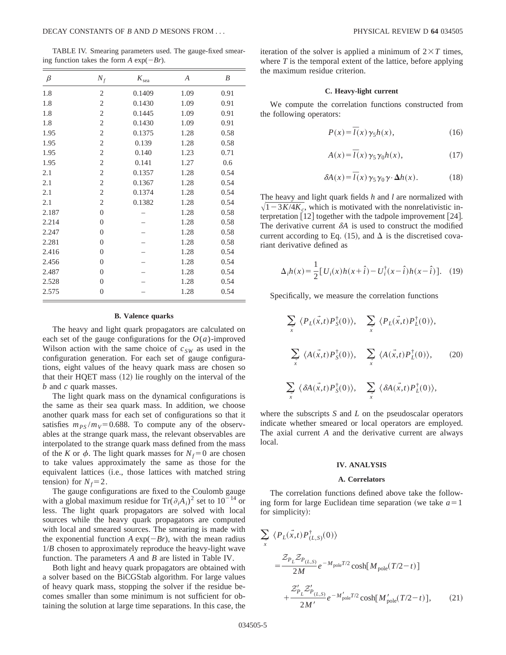TABLE IV. Smearing parameters used. The gauge-fixed smearing function takes the form  $A \exp(-Br)$ .

| $\beta$ | $N_f$                   | $K_{\rm sea}$ | A    | B    |
|---------|-------------------------|---------------|------|------|
| 1.8     | 2                       | 0.1409        | 1.09 | 0.91 |
| 1.8     | 2                       | 0.1430        | 1.09 | 0.91 |
| 1.8     | 2                       | 0.1445        | 1.09 | 0.91 |
| 1.8     | 2                       | 0.1430        | 1.09 | 0.91 |
| 1.95    | 2                       | 0.1375        | 1.28 | 0.58 |
| 1.95    | 2                       | 0.139         | 1.28 | 0.58 |
| 1.95    | 2                       | 0.140         | 1.23 | 0.71 |
| 1.95    | 2                       | 0.141         | 1.27 | 0.6  |
| 2.1     | 2                       | 0.1357        | 1.28 | 0.54 |
| 2.1     | $\overline{\mathbf{c}}$ | 0.1367        | 1.28 | 0.54 |
| 2.1     | 2                       | 0.1374        | 1.28 | 0.54 |
| 2.1     | 2                       | 0.1382        | 1.28 | 0.54 |
| 2.187   | 0                       |               | 1.28 | 0.58 |
| 2.214   | $\overline{0}$          |               | 1.28 | 0.58 |
| 2.247   | $\overline{0}$          |               | 1.28 | 0.58 |
| 2.281   | $\overline{0}$          |               | 1.28 | 0.58 |
| 2.416   | 0                       |               | 1.28 | 0.54 |
| 2.456   | $\overline{0}$          |               | 1.28 | 0.54 |
| 2.487   | $\overline{0}$          |               | 1.28 | 0.54 |
| 2.528   | $\overline{0}$          |               | 1.28 | 0.54 |
| 2.575   | $\theta$                |               | 1.28 | 0.54 |

#### **B. Valence quarks**

The heavy and light quark propagators are calculated on each set of the gauge configurations for the  $O(a)$ -improved Wilson action with the same choice of  $c_{SW}$  as used in the configuration generation. For each set of gauge configurations, eight values of the heavy quark mass are chosen so that their  $HQET$  mass  $(12)$  lie roughly on the interval of the *b* and *c* quark masses.

The light quark mass on the dynamical configurations is the same as their sea quark mass. In addition, we choose another quark mass for each set of configurations so that it satisfies  $m_{PS}/m_{V}$ =0.688. To compute any of the observables at the strange quark mass, the relevant observables are interpolated to the strange quark mass defined from the mass of the *K* or  $\phi$ . The light quark masses for  $N_f = 0$  are chosen to take values approximately the same as those for the equivalent lattices (i.e., those lattices with matched string tension) for  $N_f=2$ .

The gauge configurations are fixed to the Coulomb gauge with a global maximum residue for  $Tr(\partial_i A_i)^2$  set to  $10^{-14}$  or less. The light quark propagators are solved with local sources while the heavy quark propagators are computed with local and smeared sources. The smearing is made with the exponential function  $A \exp(-Br)$ , with the mean radius 1/*B* chosen to approximately reproduce the heavy-light wave function. The parameters *A* and *B* are listed in Table IV.

Both light and heavy quark propagators are obtained with a solver based on the BiCGStab algorithm. For large values of heavy quark mass, stopping the solver if the residue becomes smaller than some minimum is not sufficient for obtaining the solution at large time separations. In this case, the iteration of the solver is applied a minimum of  $2\times T$  times, where *T* is the temporal extent of the lattice, before applying the maximum residue criterion.

## **C. Heavy-light current**

We compute the correlation functions constructed from the following operators:

$$
P(x) = \overline{I}(x)\gamma_5 h(x),\tag{16}
$$

$$
A(x) = \overline{I}(x)\gamma_5\gamma_0 h(x),\tag{17}
$$

$$
\delta A(x) = \overline{I}(x)\,\gamma_5\,\gamma_0\,\gamma\cdot\Delta h(x). \tag{18}
$$

The heavy and light quark fields *h* and *l* are normalized with  $\sqrt{1-3K/4K_c}$ , which is motivated with the nonrelativistic interpretation  $\lceil 12 \rceil$  together with the tadpole improvement  $\lceil 24 \rceil$ . The derivative current  $\delta A$  is used to construct the modified current according to Eq. (15), and  $\Delta$  is the discretised covariant derivative defined as

$$
\Delta_i h(x) = \frac{1}{2} [U_i(x)h(x+\hat{i}) - U_i^{\dagger}(x-\hat{i})h(x-\hat{i})]. \quad (19)
$$

Specifically, we measure the correlation functions

$$
\sum_{\vec{x}} \langle P_L(\vec{x},t) P_S^{\dagger}(0) \rangle, \quad \sum_{\vec{x}} \langle P_L(\vec{x},t) P_L^{\dagger}(0) \rangle,
$$
\n
$$
\sum_{\vec{x}} \langle A(\vec{x},t) P_S^{\dagger}(0) \rangle, \quad \sum_{\vec{x}} \langle A(\vec{x},t) P_L^{\dagger}(0) \rangle, \quad (20)
$$
\n
$$
\sum_{\vec{x}} \langle \delta A(\vec{x},t) P_S^{\dagger}(0) \rangle, \quad \sum_{\vec{x}} \langle \delta A(\vec{x},t) P_L^{\dagger}(0) \rangle,
$$

where the subscripts *S* and *L* on the pseudoscalar operators indicate whether smeared or local operators are employed. The axial current *A* and the derivative current are always local.

# **IV. ANALYSIS**

## **A. Correlators**

The correlation functions defined above take the following form for large Euclidean time separation (we take  $a=1$ for simplicity):

$$
\sum_{x} \langle P_{L}(\vec{x},t) P_{(L,S)}^{\dagger}(0) \rangle
$$
\n
$$
= \frac{\mathcal{Z}_{P_{L}} \mathcal{Z}_{P_{(L,S)}}}{2M} e^{-M_{\text{pole}}T/2} \cosh[M_{\text{pole}}(T/2-t)]
$$
\n
$$
+ \frac{\mathcal{Z}_{P_{L}}^{\prime} \mathcal{Z}_{P_{(L,S)}}^{\prime}}{2M^{\prime}} e^{-M_{\text{pole}}^{\prime}T/2} \cosh[M_{\text{pole}}^{\prime}(T/2-t)], \qquad (21)
$$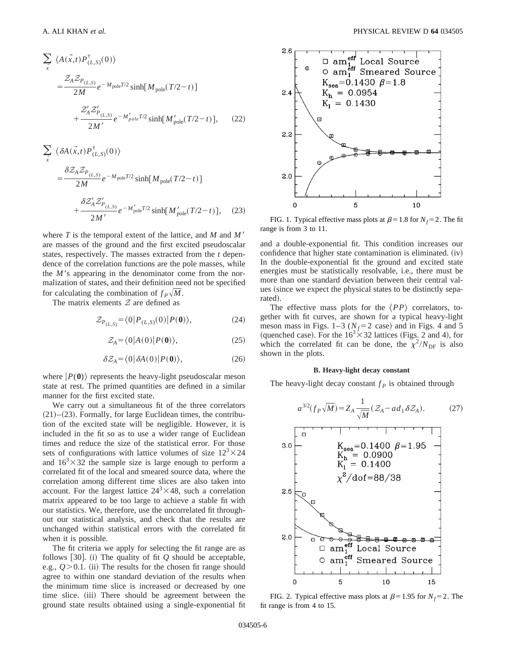$$
\sum_{x} \langle A(\vec{x},t)P_{(L,S)}^{\dagger}(0)\rangle
$$
  
= 
$$
\frac{\mathcal{Z}_{A}\mathcal{Z}_{P_{(L,S)}}}{2M}e^{-M_{\text{pole}}T/2}\sinh[M_{\text{pole}}(T/2-t)]
$$
  
+ 
$$
\frac{\mathcal{Z}_{A}'\mathcal{Z}_{P_{(L,S)}}'}{2M'}e^{-M_{\text{pole}}'T/2}\sinh[M_{\text{pole}}'(T/2-t)], \qquad (22)
$$

$$
\sum_{x} \langle \delta A(\vec{x},t) P_{(L,S)}^{\dagger}(0) \rangle
$$
  
= 
$$
\frac{\delta Z_A Z_{P_{(L,S)}}}{2M} e^{-M_{\text{pole}}T/2} \sinh[M_{\text{pole}}(T/2-t)]
$$
  
+ 
$$
\frac{\delta Z'_A Z'_{P_{(L,S)}}}{2M'} e^{-M_{\text{pole}}'T/2} \sinh[M_{\text{pole}}'(T/2-t)], \quad (23)
$$

where  $T$  is the temporal extent of the lattice, and  $M$  and  $M'$ are masses of the ground and the first excited pseudoscalar states, respectively. The masses extracted from the *t* dependence of the correlation functions are the pole masses, while the *M*'s appearing in the denominator come from the normalization of states, and their definition need not be specified for calculating the combination of  $f_P\sqrt{M}$ .

The matrix elements  $Z$  are defined as

$$
\mathcal{Z}_{P_{(L,S)}} = \langle 0|P_{(L,S)}(0)|P(\mathbf{0})\rangle,\tag{24}
$$

$$
\mathcal{Z}_A = \langle 0 | A(0) | P(0) \rangle,\tag{25}
$$

$$
\delta \mathcal{Z}_A = \langle 0 | \delta A(0) | P(0) \rangle, \tag{26}
$$

where  $|P(0)\rangle$  represents the heavy-light pseudoscalar meson state at rest. The primed quantities are defined in a similar manner for the first excited state.

We carry out a simultaneous fit of the three correlators  $(21)–(23)$ . Formally, for large Euclidean times, the contribution of the excited state will be negligible. However, it is included in the fit so as to use a wider range of Euclidean times and reduce the size of the statistical error. For those sets of configurations with lattice volumes of size  $12<sup>3</sup> \times 24$ and  $16<sup>3</sup> \times 32$  the sample size is large enough to perform a correlated fit of the local and smeared source data, where the correlation among different time slices are also taken into account. For the largest lattice  $24^3 \times 48$ , such a correlation matrix appeared to be too large to achieve a stable fit with our statistics. We, therefore, use the uncorrelated fit throughout our statistical analysis, and check that the results are unchanged within statistical errors with the correlated fit when it is possible.

The fit criteria we apply for selecting the fit range are as follows  $[30]$ . (i) The quality of fit  $Q$  should be acceptable, e.g.,  $Q > 0.1$ . (ii) The results for the chosen fit range should agree to within one standard deviation of the results when the minimum time slice is increased or decreased by one time slice. (iii) There should be agreement between the ground state results obtained using a single-exponential fit



FIG. 1. Typical effective mass plots at  $\beta$ =1.8 for *N<sub>f</sub>*=2. The fit range is from 3 to 11.

and a double-exponential fit. This condition increases our confidence that higher state contamination is eliminated.  $(iv)$ In the double-exponential fit the ground and excited state energies must be statistically resolvable, i.e., there must be more than one standard deviation between their central values (since we expect the physical states to be distinctly separated).

The effective mass plots for the  $\langle PP \rangle$  correlators, together with fit curves, are shown for a typical heavy-light meson mass in Figs.  $1-3$  ( $N_f=2$  case) and in Figs. 4 and 5 (quenched case). For the  $16<sup>3</sup> \times 32$  lattices (Figs. 2 and 4), for which the correlated fit can be done, the  $\chi^2/N_{\text{DF}}$  is also shown in the plots.

#### **B. Heavy-light decay constant**

The heavy-light decay constant  $f<sub>P</sub>$  is obtained through

$$
a^{3/2}(f_P\sqrt{M}) = Z_A \frac{1}{\sqrt{M}} (\mathcal{Z}_A - ad_1 \delta \mathcal{Z}_A). \tag{27}
$$



FIG. 2. Typical effective mass plots at  $\beta$ =1.95 for *N<sub>f</sub>*=2. The fit range is from 4 to 15.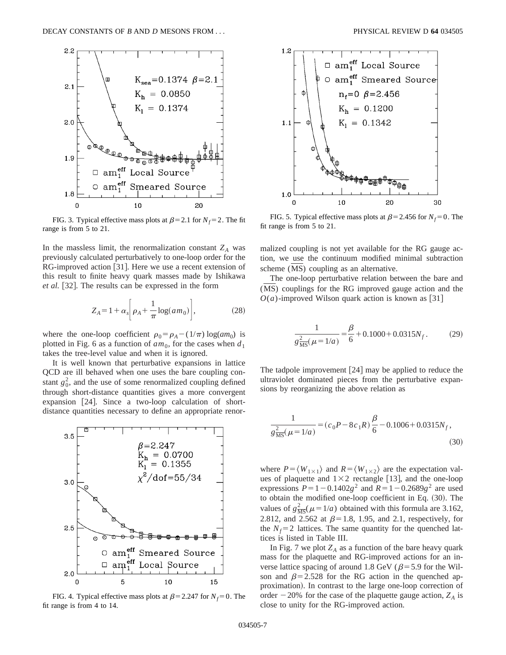

FIG. 3. Typical effective mass plots at  $\beta$ =2.1 for *N<sub>f</sub>*=2. The fit range is from 5 to 21.

In the massless limit, the renormalization constant  $Z_A$  was previously calculated perturbatively to one-loop order for the RG-improved action [31]. Here we use a recent extension of this result to finite heavy quark masses made by Ishikawa *et al.* [32]. The results can be expressed in the form

$$
Z_A = 1 + \alpha_s \bigg[ \rho_A + \frac{1}{\pi} \log(am_0) \bigg],\tag{28}
$$

where the one-loop coefficient  $\rho_0 = \rho_A - (1/\pi) \log(am_0)$  is plotted in Fig. 6 as a function of  $am_0$ , for the cases when  $d_1$ takes the tree-level value and when it is ignored.

It is well known that perturbative expansions in lattice QCD are ill behaved when one uses the bare coupling constant  $g_0^2$ , and the use of some renormalized coupling defined through short-distance quantities gives a more convergent expansion  $[24]$ . Since a two-loop calculation of shortdistance quantities necessary to define an appropriate renor-



FIG. 4. Typical effective mass plots at  $\beta$ =2.247 for *N<sub>f</sub>*=0. The fit range is from 4 to 14.



FIG. 5. Typical effective mass plots at  $\beta$ =2.456 for *N<sub>f</sub>*=0. The fit range is from 5 to 21.

malized coupling is not yet available for the RG gauge action, we use the continuum modified minimal subtraction scheme (MS) coupling as an alternative.

The one-loop perturbative relation between the bare and (MS) couplings for the RG improved gauge action and the  $O(a)$ -improved Wilson quark action is known as [31]

$$
\frac{1}{g\frac{2}{\text{MS}}(\mu=1/a)} = \frac{\beta}{6} + 0.1000 + 0.0315N_f.
$$
 (29)

The tadpole improvement  $\left| 24 \right|$  may be applied to reduce the ultraviolet dominated pieces from the perturbative expansions by reorganizing the above relation as

$$
\frac{1}{g\frac{2}{\text{MS}}(\mu=1/a)} = (c_0 P - 8c_1 R)\frac{\beta}{6} - 0.1006 + 0.0315N_f,
$$
\n(30)

where  $P = \langle W_{1 \times 1} \rangle$  and  $R = \langle W_{1 \times 2} \rangle$  are the expectation values of plaquette and  $1\times 2$  rectangle [13], and the one-loop expressions  $P=1-0.1402g^2$  and  $R=1-0.2689g^2$  are used to obtain the modified one-loop coefficient in Eq.  $(30)$ . The values of  $g_{\overline{\text{MS}}}^2$  ( $\mu$  = 1/*a*) obtained with this formula are 3.162, 2.812, and 2.562 at  $\beta$ =1.8, 1.95, and 2.1, respectively, for the  $N_f$ =2 lattices. The same quantity for the quenched lattices is listed in Table III.

In Fig. 7 we plot  $Z_A$  as a function of the bare heavy quark mass for the plaquette and RG-improved actions for an inverse lattice spacing of around 1.8 GeV ( $\beta$ = 5.9 for the Wilson and  $\beta$ =2.528 for the RG action in the quenched approximation). In contrast to the large one-loop correction of order  $-20\%$  for the case of the plaquette gauge action,  $Z_A$  is close to unity for the RG-improved action.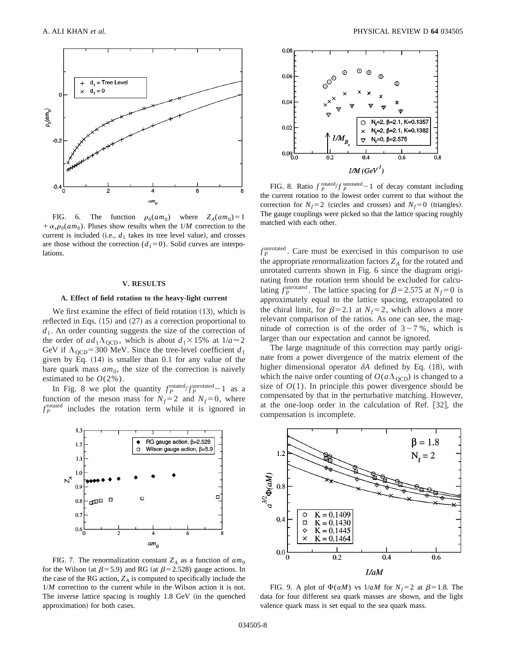

FIG. 6. The function  $\rho_0(am_0)$  where  $Z_A(am_0)=1$  $+\alpha_s \rho_0(am_0)$ . Pluses show results when the  $1/M$  correction to the current is included (i.e.,  $d_1$  takes its tree level value), and crosses are those without the correction  $(d_1=0)$ . Solid curves are interpolations.

#### **V. RESULTS**

## **A. Effect of field rotation to the heavy-light current**

We first examine the effect of field rotation  $(13)$ , which is reflected in Eqs.  $(15)$  and  $(27)$  as a correction proportional to  $d_1$ . An order counting suggests the size of the correction of the order of  $ad_1\Lambda_{\text{QCD}}$ , which is about  $d_1 \times 15\%$  at  $1/a \approx 2$ GeV if  $\Lambda_{\text{QCD}}$ =300 MeV. Since the tree-level coefficient *d*<sub>1</sub> given by Eq.  $(14)$  is smaller than 0.1 for any value of the bare quark mass  $am_0$ , the size of the correction is naively estimated to be  $O(2\%)$ .

In Fig. 8 we plot the quantity  $f_P^{\text{rotated}}/f_P^{\text{unrotated}}-1$  as a function of the meson mass for  $N_f=2$  and  $N_f=0$ , where  $f_P^{\text{rotated}}$  includes the rotation term while it is ignored in



FIG. 7. The renormalization constant  $Z_A$  as a function of  $am_0$ for the Wilson (at  $\beta$ =5.9) and RG (at  $\beta$ =2.528) gauge actions. In the case of the RG action,  $Z_A$  is computed to specifically include the 1/*M* correction to the current while in the Wilson action it is not. The inverse lattice spacing is roughly  $1.8 \text{ GeV}$  (in the quenched approximation) for both cases.



FIG. 8. Ratio  $f_P^{\text{rotated}}/f_P^{\text{unrotated}}-1$  of decay constant including the current rotation to the lowest order current to that without the correction for  $N_f=2$  (circles and crosses) and  $N_f=0$  (triangles). The gauge couplings were picked so that the lattice spacing roughly matched with each other.

 $f_P^{\text{unrotated}}$ . Care must be exercised in this comparison to use the appropriate renormalization factors  $Z_A$  for the rotated and unrotated currents shown in Fig. 6 since the diagram originating from the rotation term should be excluded for calculating  $f_P^{\text{unrotated}}$ . The lattice spacing for  $\beta$ =2.575 at  $N_f$ =0 is approximately equal to the lattice spacing, extrapolated to the chiral limit, for  $\beta$ =2.1 at *N<sub>f</sub>*=2, which allows a more relevant comparison of the ratios. As one can see, the magnitude of correction is of the order of  $3-7\%$ , which is larger than our expectation and cannot be ignored.

The large magnitude of this correction may partly originate from a power divergence of the matrix element of the higher dimensional operator  $\delta A$  defined by Eq. (18), with which the naive order counting of  $O(a\Lambda_{\text{QCD}})$  is changed to a size of  $O(1)$ . In principle this power divergence should be compensated by that in the perturbative matching. However, at the one-loop order in the calculation of Ref.  $[32]$ , the compensation is incomplete.



FIG. 9. A plot of  $\Phi(aM)$  vs  $1/aM$  for  $N_f=2$  at  $\beta=1.8$ . The data for four different sea quark masses are shown, and the light valence quark mass is set equal to the sea quark mass.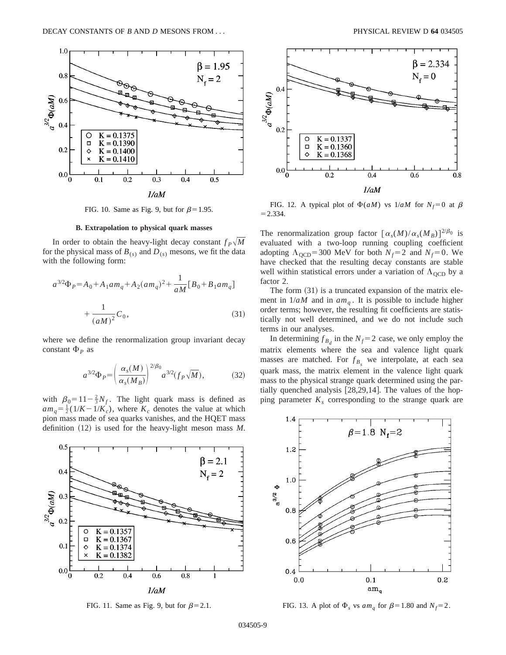

FIG. 10. Same as Fig. 9, but for  $\beta=1.95$ .

#### **B. Extrapolation to physical quark masses**

In order to obtain the heavy-light decay constant  $f_P\sqrt{M}$ for the physical mass of  $B_{(s)}$  and  $D_{(s)}$  mesons, we fit the data with the following form:

$$
a^{3/2}\Phi_P = A_0 + A_1 a m_q + A_2 (a m_q)^2 + \frac{1}{aM} [B_0 + B_1 a m_q]
$$

$$
+ \frac{1}{(aM)^2} C_0,
$$
(31)

where we define the renormalization group invariant decay constant  $\Phi_P$  as

$$
a^{3/2}\Phi_P = \left(\frac{\alpha_s(M)}{\alpha_s(M_B)}\right)^{2/\beta_0} a^{3/2} (f_P\sqrt{M}),\tag{32}
$$

with  $\beta_0 = 11 - \frac{2}{3} N_f$ . The light quark mass is defined as  $am_q = \frac{1}{2} (1/K - 1/K_c)$ , where  $K_c$  denotes the value at which pion mass made of sea quarks vanishes, and the HQET mass definition  $(12)$  is used for the heavy-light meson mass *M*.



FIG. 11. Same as Fig. 9, but for  $\beta$ =2.1.



FIG. 12. A typical plot of  $\Phi(aM)$  vs  $1/aM$  for  $N_f=0$  at  $\beta$  $= 2.334.$ 

The renormalization group factor  $[\alpha_s(M)/\alpha_s(M_B)]^{2/\beta_0}$  is evaluated with a two-loop running coupling coefficient adopting  $\Lambda_{\text{OCD}}$ =300 MeV for both  $N_f$ =2 and  $N_f$ =0. We have checked that the resulting decay constants are stable well within statistical errors under a variation of  $\Lambda_{\text{QCD}}$  by a factor 2.

The form  $(31)$  is a truncated expansion of the matrix element in  $1/aM$  and in  $am_a$ . It is possible to include higher order terms; however, the resulting fit coefficients are statistically not well determined, and we do not include such terms in our analyses.

In determining  $f_{B_d}$  in the  $N_f$ = 2 case, we only employ the matrix elements where the sea and valence light quark masses are matched. For  $f_{B_s}$  we interpolate, at each sea quark mass, the matrix element in the valence light quark mass to the physical strange quark determined using the partially quenched analysis  $[28,29,14]$ . The values of the hopping parameter  $K<sub>s</sub>$  corresponding to the strange quark are



FIG. 13. A plot of  $\Phi_s$  vs  $am_a$  for  $\beta$ =1.80 and  $N_f$ =2.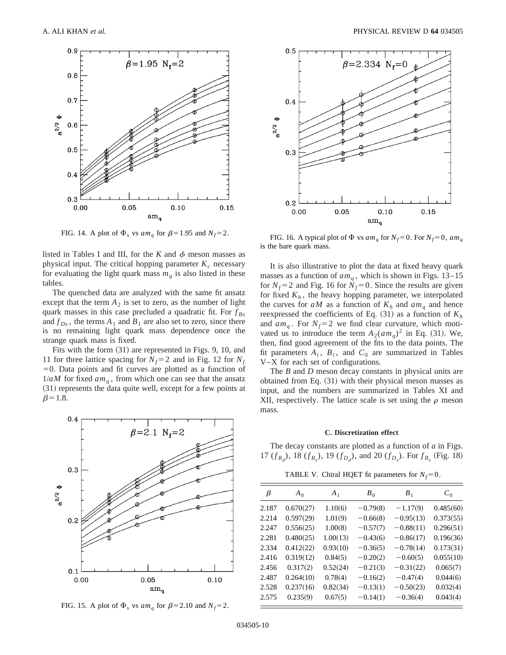

FIG. 14. A plot of  $\Phi_s$  vs  $am_q$  for  $\beta$ =1.95 and  $N_f$ =2.

listed in Tables I and III, for the *K* and  $\phi$  meson masses as physical input. The critical hopping parameter  $K_c$  necessary for evaluating the light quark mass  $m_q$  is also listed in these tables.

The quenched data are analyzed with the same fit ansatz except that the term  $A_2$  is set to zero, as the number of light quark masses in this case precluded a quadratic fit. For *f Bs* and  $f_{Ds}$ , the terms  $A_1$  and  $B_1$  are also set to zero, since there is no remaining light quark mass dependence once the strange quark mass is fixed.

Fits with the form  $(31)$  are represented in Figs. 9, 10, and 11 for three lattice spacing for  $N_f$ = 2 and in Fig. 12 for  $N_f$  $=0$ . Data points and fit curves are plotted as a function of  $1/aM$  for fixed  $am_q$ , from which one can see that the ansatz  $(31)$  represents the data quite well, except for a few points at  $\beta$ =1.8.



FIG. 15. A plot of  $\Phi_s$  vs  $am_q$  for  $\beta = 2.10$  and  $N_f = 2$ .



FIG. 16. A typical plot of  $\Phi$  vs  $am_q$  for  $N_f = 0$ . For  $N_f = 0$ ,  $am_q$ is the bare quark mass.

It is also illustrative to plot the data at fixed heavy quark masses as a function of  $am_q$ , which is shown in Figs. 13–15 for  $N_f$ =2 and Fig. 16 for  $N_f$ =0. Since the results are given for fixed  $K_h$ , the heavy hopping parameter, we interpolated the curves for  $aM$  as a function of  $K_h$  and  $am_q$  and hence reexpressed the coefficients of Eq.  $(31)$  as a function of  $K_h$ and  $am_q$ . For  $N_f=2$  we find clear curvature, which motivated us to introduce the term  $A_2(am_q)^2$  in Eq. (31). We, then, find good agreement of the fits to the data points. The fit parameters  $A_i$ ,  $B_i$ , and  $C_0$  are summarized in Tables V–X for each set of configurations.

The *B* and *D* meson decay constants in physical units are obtained from Eq.  $(31)$  with their physical meson masses as input, and the numbers are summarized in Tables XI and XII, respectively. The lattice scale is set using the  $\rho$  meson mass.

# **C. Discretization effect**

The decay constants are plotted as a function of *a* in Figs. 17  $(f_{B_d})$ , 18  $(f_{B_s})$ , 19  $(f_{D_d})$ , and 20  $(f_{D_s})$ . For  $f_{B_s}$  (Fig. 18)

TABLE V. Chiral HQET fit parameters for  $N_f=0$ .

| β     | $A_0$     | $A_1$    | $B_0$      | $B_1$       | $C_0$     |
|-------|-----------|----------|------------|-------------|-----------|
| 2.187 | 0.670(27) | 1.10(6)  | $-0.79(8)$ | $-1.17(9)$  | 0.485(60) |
| 2.214 | 0.597(29) | 1.01(9)  | $-0.66(8)$ | $-0.95(13)$ | 0.373(55) |
| 2.247 | 0.556(25) | 1.00(8)  | $-0.57(7)$ | $-0.88(11)$ | 0.296(51) |
| 2.281 | 0.480(25) | 1.00(13) | $-0.43(6)$ | $-0.86(17)$ | 0.196(36) |
| 2.334 | 0.412(22) | 0.93(10) | $-0.36(5)$ | $-0.78(14)$ | 0.173(31) |
| 2.416 | 0.319(12) | 0.84(5)  | $-0.20(2)$ | $-0.60(5)$  | 0.055(10) |
| 2.456 | 0.317(2)  | 0.52(24) | $-0.21(3)$ | $-0.31(22)$ | 0.065(7)  |
| 2.487 | 0.264(10) | 0.78(4)  | $-0.16(2)$ | $-0.47(4)$  | 0.044(6)  |
| 2.528 | 0.237(16) | 0.82(34) | $-0.13(1)$ | $-0.50(23)$ | 0.032(4)  |
| 2.575 | 0.235(9)  | 0.67(5)  | $-0.14(1)$ | $-0.36(4)$  | 0.043(4)  |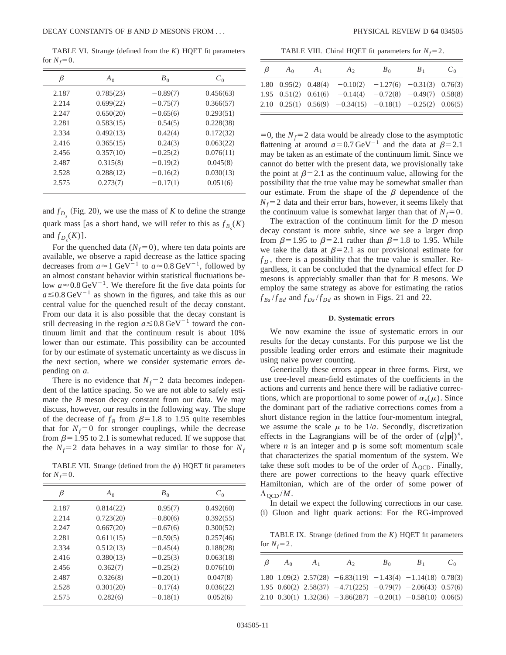TABLE VI. Strange (defined from the  $K$ ) HQET fit parameters for  $N_f=0$ .

| β     | $A_0$     | $B_0$      | $C_0$     |
|-------|-----------|------------|-----------|
| 2.187 | 0.785(23) | $-0.89(7)$ | 0.456(63) |
| 2.214 | 0.699(22) | $-0.75(7)$ | 0.366(57) |
| 2.247 | 0.650(20) | $-0.65(6)$ | 0.293(51) |
| 2.281 | 0.583(15) | $-0.54(5)$ | 0.228(38) |
| 2.334 | 0.492(13) | $-0.42(4)$ | 0.172(32) |
| 2.416 | 0.365(15) | $-0.24(3)$ | 0.063(22) |
| 2.456 | 0.357(10) | $-0.25(2)$ | 0.076(11) |
| 2.487 | 0.315(8)  | $-0.19(2)$ | 0.045(8)  |
| 2.528 | 0.288(12) | $-0.16(2)$ | 0.030(13) |
| 2.575 | 0.273(7)  | $-0.17(1)$ | 0.051(6)  |

and  $f_{D_s}$  (Fig. 20), we use the mass of *K* to define the strange quark mass [as a short hand, we will refer to this as  $f_{B_s}(K)$ and  $f_{D_s}(K)$ ].

For the quenched data  $(N_f=0)$ , where ten data points are available, we observe a rapid decrease as the lattice spacing decreases from  $a \approx 1$  GeV<sup>-1</sup> to  $a \approx 0.8$  GeV<sup>-1</sup>, followed by an almost constant behavior within statistical fluctuations below  $a \approx 0.8 \,\text{GeV}^{-1}$ . We therefore fit the five data points for  $a \leq 0.8$  GeV<sup>-1</sup> as shown in the figures, and take this as our central value for the quenched result of the decay constant. From our data it is also possible that the decay constant is still decreasing in the region  $a \le 0.8 \,\text{GeV}^{-1}$  toward the continuum limit and that the continuum result is about 10% lower than our estimate. This possibility can be accounted for by our estimate of systematic uncertainty as we discuss in the next section, where we consider systematic errors depending on *a*.

There is no evidence that  $N_f=2$  data becomes independent of the lattice spacing. So we are not able to safely estimate the *B* meson decay constant from our data. We may discuss, however, our results in the following way. The slope of the decrease of  $f_B$  from  $\beta$ =1.8 to 1.95 quite resembles that for  $N_f=0$  for stronger couplings, while the decrease from  $\beta$ =1.95 to 2.1 is somewhat reduced. If we suppose that the  $N_f$ =2 data behaves in a way similar to those for  $N_f$ 

TABLE VII. Strange (defined from the  $\phi$ ) HQET fit parameters for  $N_f=0$ .

| β     | $A_0$     | $B_0$      | $C_0$     |
|-------|-----------|------------|-----------|
| 2.187 | 0.814(22) | $-0.95(7)$ | 0.492(60) |
| 2.214 | 0.723(20) | $-0.80(6)$ | 0.392(55) |
| 2.247 | 0.667(20) | $-0.67(6)$ | 0.300(52) |
| 2.281 | 0.611(15) | $-0.59(5)$ | 0.257(46) |
| 2.334 | 0.512(13) | $-0.45(4)$ | 0.188(28) |
| 2.416 | 0.380(13) | $-0.25(3)$ | 0.063(18) |
| 2.456 | 0.362(7)  | $-0.25(2)$ | 0.076(10) |
| 2.487 | 0.326(8)  | $-0.20(1)$ | 0.047(8)  |
| 2.528 | 0.301(20) | $-0.17(4)$ | 0.036(22) |
| 2.575 | 0.282(6)  | $-0.18(1)$ | 0.052(6)  |
|       |           |            |           |

TABLE VIII. Chiral HQET fit parameters for  $N_f = 2$ .

| $\beta$ | $A_0$ | $A_1$ | $A_{2}$                                                             | $B_{0}$ | $B_{1}$ | $C_0$ |
|---------|-------|-------|---------------------------------------------------------------------|---------|---------|-------|
|         |       |       | 1.80 0.95(2) 0.48(4) $-0.10(2)$ $-1.27(6)$ $-0.31(3)$ 0.76(3)       |         |         |       |
|         |       |       | 1.95 $0.51(2)$ $0.61(6)$ $-0.14(4)$ $-0.72(8)$ $-0.49(7)$ $0.58(8)$ |         |         |       |
|         |       |       | 2.10 0.25(1) 0.56(9) $-0.34(15)$ $-0.18(1)$ $-0.25(2)$ 0.06(5)      |         |         |       |

 $=0$ , the *N<sub>f</sub>*=2 data would be already close to the asymptotic flattening at around  $a=0.7 \,\text{GeV}^{-1}$  and the data at  $\beta=2.1$ may be taken as an estimate of the continuum limit. Since we cannot do better with the present data, we provisionally take the point at  $\beta$ =2.1 as the continuum value, allowing for the possibility that the true value may be somewhat smaller than our estimate. From the shape of the  $\beta$  dependence of the  $N_f$ =2 data and their error bars, however, it seems likely that the continuum value is somewhat larger than that of  $N_f=0$ .

The extraction of the continuum limit for the *D* meson decay constant is more subtle, since we see a larger drop from  $\beta$ =1.95 to  $\beta$ =2.1 rather than  $\beta$ =1.8 to 1.95. While we take the data at  $\beta$ =2.1 as our provisional estimate for  $f<sub>D</sub>$ , there is a possibility that the true value is smaller. Regardless, it can be concluded that the dynamical effect for *D* mesons is appreciably smaller than that for *B* mesons. We employ the same strategy as above for estimating the ratios  $f_{Bs}/f_{Bd}$  and  $f_{Ds}/f_{Dd}$  as shown in Figs. 21 and 22.

## **D. Systematic errors**

We now examine the issue of systematic errors in our results for the decay constants. For this purpose we list the possible leading order errors and estimate their magnitude using naive power counting.

Generically these errors appear in three forms. First, we use tree-level mean-field estimates of the coefficients in the actions and currents and hence there will be radiative corrections, which are proportional to some power of  $\alpha_s(\mu)$ . Since the dominant part of the radiative corrections comes from a short distance region in the lattice four-momentum integral, we assume the scale  $\mu$  to be  $1/a$ . Secondly, discretization effects in the Lagrangians will be of the order of  $(a|\mathbf{p}|)^n$ , where  $n$  is an integer and  $p$  is some soft momentum scale that characterizes the spatial momentum of the system. We take these soft modes to be of the order of  $\Lambda_{\text{OCD}}$ . Finally, there are power corrections to the heavy quark effective Hamiltonian, which are of the order of some power of  $\Lambda_{\text{QCD}}/M$ .

In detail we expect the following corrections in our case. (i) Gluon and light quark actions: For the RG-improved

TABLE IX. Strange (defined from the  $K$ ) HQET fit parameters for  $N_f = 2$ .

| $\beta$ | $A_0$ | $A_1$ | $A_{2}$                                                           | $B_{0}$ | $B_1$ | $C_0$ |
|---------|-------|-------|-------------------------------------------------------------------|---------|-------|-------|
|         |       |       | 1.80 1.09(2) 2.57(28) $-6.83(119)$ $-1.43(4)$ $-1.14(18)$ 0.78(3) |         |       |       |
|         |       |       | 1.95 0.60(2) 2.58(37) $-4.71(225)$ $-0.79(7)$ $-2.06(43)$ 0.57(6) |         |       |       |
|         |       |       | 2.10 0.30(1) 1.32(36) $-3.86(287)$ $-0.20(1)$ $-0.58(10)$ 0.06(5) |         |       |       |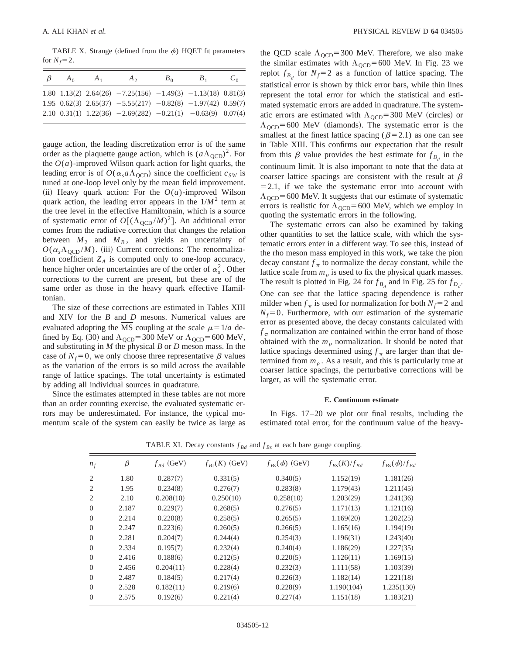TABLE X. Strange (defined from the  $\phi$ ) HQET fit parameters for  $N_f=2$ .

| $\beta$ | $A_0$ | $A_{1}$ | $A_{2}$                                                           | $B_{0}$ | $B_{1}$ | $C_0$ |
|---------|-------|---------|-------------------------------------------------------------------|---------|---------|-------|
|         |       |         | 1.80 1.13(2) 2.64(26) $-7.25(156)$ $-1.49(3)$ $-1.13(18)$ 0.81(3) |         |         |       |
|         |       |         | 1.95 0.62(3) 2.65(37) $-5.55(217)$ $-0.82(8)$ $-1.97(42)$ 0.59(7) |         |         |       |
|         |       |         | 2.10 0.31(1) 1.22(36) $-2.69(282)$ $-0.21(1)$ $-0.63(9)$ 0.07(4)  |         |         |       |

gauge action, the leading discretization error is of the same order as the plaquette gauge action, which is  $(a\Lambda_{\text{QCD}})^2$ . For the  $O(a)$ -improved Wilson quark action for light quarks, the leading error is of  $O(\alpha_s a \Lambda_{\text{OCD}})$  since the coefficient  $c_{SW}$  is tuned at one-loop level only by the mean field improvement. (ii) Heavy quark action: For the  $O(a)$ -improved Wilson quark action, the leading error appears in the  $1/M^2$  term at the tree level in the effective Hamiltonain, which is a source of systematic error of  $O[(\Lambda_{\text{OCD}}/M)^2]$ . An additional error comes from the radiative correction that changes the relation between  $M_2$  and  $M_B$ , and yields an uncertainty of  $O(\alpha_s \Lambda_{\text{QCD}} / M)$ . (iii) Current corrections: The renormalization coefficient  $Z_A$  is computed only to one-loop accuracy, hence higher order uncertainties are of the order of  $\alpha_s^2$ . Other corrections to the current are present, but these are of the same order as those in the heavy quark effective Hamiltonian.

The size of these corrections are estimated in Tables XIII and XIV for the *B* and *D* mesons. Numerical values are evaluated adopting the MS coupling at the scale  $\mu = 1/a$  defined by Eq. (30) and  $\Lambda_{\text{QCD}}$ =300 MeV or  $\Lambda_{\text{QCD}}$ =600 MeV, and substituting in *M* the physical *B* or *D* meson mass. In the case of  $N_f=0$ , we only choose three representative  $\beta$  values as the variation of the errors is so mild across the available range of lattice spacings. The total uncertainty is estimated by adding all individual sources in quadrature.

Since the estimates attempted in these tables are not more than an order counting exercise, the evaluated systematic errors may be underestimated. For instance, the typical momentum scale of the system can easily be twice as large as the QCD scale  $\Lambda_{\text{QCD}}$ =300 MeV. Therefore, we also make the similar estimates with  $\Lambda_{\text{QCD}}$ =600 MeV. In Fig. 23 we replot  $f_{B_d}$  for  $N_f$ =2 as a function of lattice spacing. The statistical error is shown by thick error bars, while thin lines represent the total error for which the statistical and estimated systematic errors are added in quadrature. The systematic errors are estimated with  $\Lambda_{\text{OCD}}$ =300 MeV (circles) or  $\Lambda_{\text{OCD}}$ =600 MeV (diamonds). The systematic error is the smallest at the finest lattice spacing ( $\beta$ =2.1) as one can see in Table XIII. This confirms our expectation that the result from this  $\beta$  value provides the best estimate for  $f_{B_d}$  in the continuum limit. It is also important to note that the data at coarser lattice spacings are consistent with the result at  $\beta$  $=2.1$ , if we take the systematic error into account with  $\Lambda_{\text{OCD}}$ =600 MeV. It suggests that our estimate of systematic errors is realistic for  $\Lambda_{\text{QCD}}$ =600 MeV, which we employ in quoting the systematic errors in the following.

The systematic errors can also be examined by taking other quantities to set the lattice scale, with which the systematic errors enter in a different way. To see this, instead of the rho meson mass employed in this work, we take the pion decay constant  $f_{\pi}$  to normalize the decay constant, while the lattice scale from  $m<sub>\rho</sub>$  is used to fix the physical quark masses. The result is plotted in Fig. 24 for  $f_{B_d}$  and in Fig. 25 for  $f_{D_d}$ . One can see that the lattice spacing dependence is rather milder when  $f_{\pi}$  is used for normalization for both  $N_f$ =2 and  $N_f$ =0. Furthermore, with our estimation of the systematic error as presented above, the decay constants calculated with  $f_{\pi}$  normalization are contained within the error band of those obtained with the  $m<sub>o</sub>$  normalization. It should be noted that lattice spacings determined using  $f_{\pi}$  are larger than that determined from  $m<sub>o</sub>$ . As a result, and this is particularly true at coarser lattice spacings, the perturbative corrections will be larger, as will the systematic error.

#### **E. Continuum estimate**

In Figs. 17–20 we plot our final results, including the estimated total error, for the continuum value of the heavy-

| $n_f$          | β     | $f_{Bd}$ (GeV) | $f_{Bs}(K)$ (GeV) | $f_{Bs}(\phi)$ (GeV) | $f_{Rs}(K)/f_{Rd}$ | $f_{Bs}(\phi)/f_{Bd}$ |
|----------------|-------|----------------|-------------------|----------------------|--------------------|-----------------------|
| 2              | 1.80  | 0.287(7)       | 0.331(5)          | 0.340(5)             | 1.152(19)          | 1.181(26)             |
| 2              | 1.95  | 0.234(8)       | 0.276(7)          | 0.283(8)             | 1.179(43)          | 1.211(45)             |
| 2              | 2.10  | 0.208(10)      | 0.250(10)         | 0.258(10)            | 1.203(29)          | 1.241(36)             |
| $\Omega$       | 2.187 | 0.229(7)       | 0.268(5)          | 0.276(5)             | 1.171(13)          | 1.121(16)             |
| $\overline{0}$ | 2.214 | 0.220(8)       | 0.258(5)          | 0.265(5)             | 1.169(20)          | 1.202(25)             |
| $\Omega$       | 2.247 | 0.223(6)       | 0.260(5)          | 0.266(5)             | 1.165(16)          | 1.194(19)             |
| $\overline{0}$ | 2.281 | 0.204(7)       | 0.244(4)          | 0.254(3)             | 1.196(31)          | 1.243(40)             |
| $\Omega$       | 2.334 | 0.195(7)       | 0.232(4)          | 0.240(4)             | 1.186(29)          | 1.227(35)             |
| $\Omega$       | 2.416 | 0.188(6)       | 0.212(5)          | 0.220(5)             | 1.126(11)          | 1.169(15)             |
| $\Omega$       | 2.456 | 0.204(11)      | 0.228(4)          | 0.232(3)             | 1.111(58)          | 1.103(39)             |
| $\Omega$       | 2.487 | 0.184(5)       | 0.217(4)          | 0.226(3)             | 1.182(14)          | 1.221(18)             |
| $\Omega$       | 2.528 | 0.182(11)      | 0.219(6)          | 0.228(9)             | 1.190(104)         | 1.235(130)            |
| $\Omega$       | 2.575 | 0.192(6)       | 0.221(4)          | 0.227(4)             | 1.151(18)          | 1.183(21)             |

TABLE XI. Decay constants  $f_{Bd}$  and  $f_{Bs}$  at each bare gauge coupling.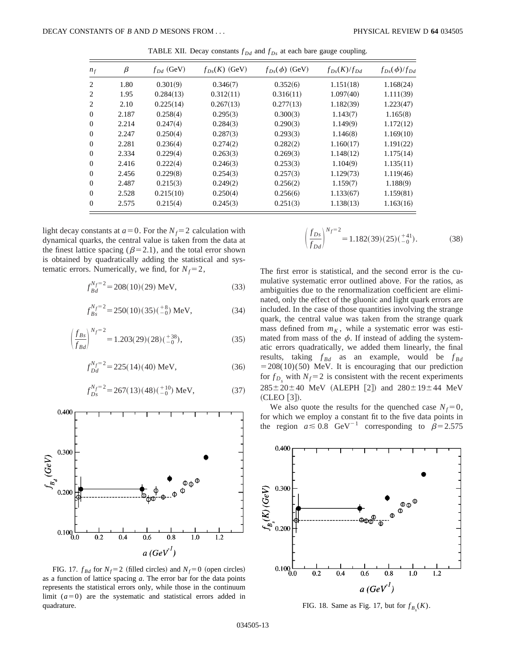| $n_f$    | $\beta$ | $f_{Dd}$ (GeV) | $f_{Ds}(K)$ (GeV) | $f_{Ds}(\phi)$ (GeV) | $f_{Ds}(K)/f_{Dd}$ | $f_{Ds}(\phi)/f_{Dd}$ |
|----------|---------|----------------|-------------------|----------------------|--------------------|-----------------------|
| 2        | 1.80    | 0.301(9)       | 0.346(7)          | 0.352(6)             | 1.151(18)          | 1.168(24)             |
| 2        | 1.95    | 0.284(13)      | 0.312(11)         | 0.316(11)            | 1.097(40)          | 1.111(39)             |
| 2        | 2.10    | 0.225(14)      | 0.267(13)         | 0.277(13)            | 1.182(39)          | 1.223(47)             |
| $\theta$ | 2.187   | 0.258(4)       | 0.295(3)          | 0.300(3)             | 1.143(7)           | 1.165(8)              |
| $\Omega$ | 2.214   | 0.247(4)       | 0.284(3)          | 0.290(3)             | 1.149(9)           | 1.172(12)             |
| $\Omega$ | 2.247   | 0.250(4)       | 0.287(3)          | 0.293(3)             | 1.146(8)           | 1.169(10)             |
| $\Omega$ | 2.281   | 0.236(4)       | 0.274(2)          | 0.282(2)             | 1.160(17)          | 1.191(22)             |
| $\Omega$ | 2.334   | 0.229(4)       | 0.263(3)          | 0.269(3)             | 1.148(12)          | 1.175(14)             |
| $\theta$ | 2.416   | 0.222(4)       | 0.246(3)          | 0.253(3)             | 1.104(9)           | 1.135(11)             |
| $\Omega$ | 2.456   | 0.229(8)       | 0.254(3)          | 0.257(3)             | 1.129(73)          | 1.119(46)             |
| $\Omega$ | 2.487   | 0.215(3)       | 0.249(2)          | 0.256(2)             | 1.159(7)           | 1.188(9)              |
| $\Omega$ | 2.528   | 0.215(10)      | 0.250(4)          | 0.256(6)             | 1.133(67)          | 1.159(81)             |
| $\Omega$ | 2.575   | 0.215(4)       | 0.245(3)          | 0.251(3)             | 1.138(13)          | 1.163(16)             |

TABLE XII. Decay constants  $f_{Dd}$  and  $f_{Ds}$  at each bare gauge coupling.

light decay constants at  $a=0$ . For the  $N_f=2$  calculation with dynamical quarks, the central value is taken from the data at the finest lattice spacing ( $\beta$ =2.1), and the total error shown is obtained by quadratically adding the statistical and systematic errors. Numerically, we find, for  $N_f = 2$ ,

$$
f_{Bd}^{N_f=2} = 208(10)(29) \text{ MeV},\tag{33}
$$

$$
f_{Bs}^{N_f=2} = 250(10)(35)(^{+8}_{-0}) \text{ MeV}, \tag{34}
$$

$$
\left(\frac{f_{Bs}}{f_{Bd}}\right)^{N_f=2} = 1.203(29)(28)(\frac{+38}{0}),\tag{35}
$$

$$
f_{Dd}^{N_f=2} = 225(14)(40) \text{ MeV}, \tag{36}
$$

$$
f_{Ds}^{N_f=2} = 267(13)(48)(_{-0}^{+10}) \text{ MeV}, \tag{37}
$$



FIG. 17.  $f_{Bd}$  for  $N_f$ =2 (filled circles) and  $N_f$ =0 (open circles) as a function of lattice spacing *a*. The error bar for the data points represents the statistical errors only, while those in the continuum limit  $(a=0)$  are the systematic and statistical errors added in quadrature. FIG. 18. Same as Fig. 17, but for  $f_{B_s}(K)$ .

$$
\left(\frac{f_{Ds}}{f_{Dd}}\right)^{N_f=2} = 1.182(39)(25)(^{+41}_{-0}).\tag{38}
$$

The first error is statistical, and the second error is the cumulative systematic error outlined above. For the ratios, as ambiguities due to the renormalization coefficient are eliminated, only the effect of the gluonic and light quark errors are included. In the case of those quantities involving the strange quark, the central value was taken from the strange quark mass defined from  $m<sub>K</sub>$ , while a systematic error was estimated from mass of the  $\phi$ . If instead of adding the systematic errors quadratically, we added them linearly, the final results, taking  $f_{Bd}$  as an example, would be  $f_{Bd}$  $=208(10)(50)$  MeV. It is encouraging that our prediction for  $f_{D_s}$  with  $N_f$ = 2 is consistent with the recent experiments  $285 \pm 20 \pm 40$  MeV (ALEPH [2]) and  $280 \pm 19 \pm 44$  MeV  $(CLEO [3]).$ 

We also quote the results for the quenched case  $N_f=0$ , for which we employ a constant fit to the five data points in the region  $a \leq 0.8$  GeV<sup>-1</sup> corresponding to  $\beta = 2.575$ 

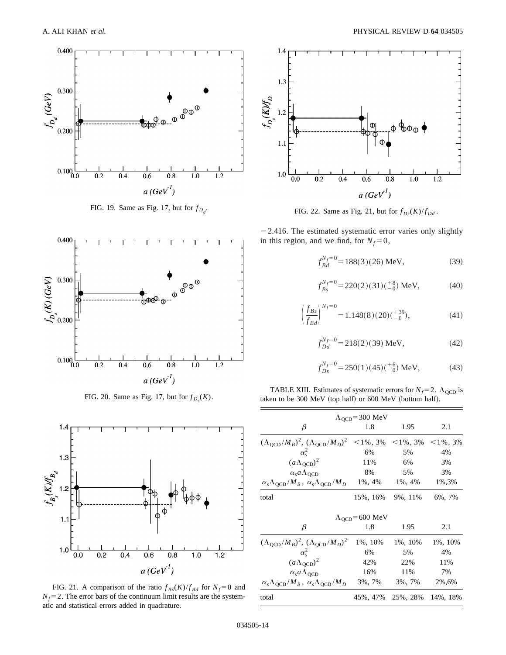

FIG. 19. Same as Fig. 17, but for  $f_{D_d}$ .



FIG. 20. Same as Fig. 17, but for  $f_{D_s}(K)$ .



FIG. 21. A comparison of the ratio  $f_{Bs}(K)/f_{Bd}$  for  $N_f=0$  and  $N_f$ = 2. The error bars of the continuum limit results are the systematic and statistical errors added in quadrature.



FIG. 22. Same as Fig. 21, but for  $f_{Ds}(K)/f_{Dd}$ .

 $-2.416$ . The estimated systematic error varies only slightly in this region, and we find, for  $N_f=0$ ,

$$
f_{Bd}^{N_f=0} = 188(3)(26) \text{ MeV},\tag{39}
$$

$$
f_{Bs}^{N_f=0} = 220(2)(31)(^{+8}_{-0}) \text{ MeV}, \tag{40}
$$

$$
\left(\frac{f_{Bs}}{f_{Bd}}\right)^{N_f=0} = 1.148(8)(20)(^{+39}_{-0}),\tag{41}
$$

$$
f_{Dd}^{N_f=0} = 218(2)(39) \text{ MeV}, \tag{42}
$$

$$
f_{Ds}^{N_f=0} = 250(1)(45)(^{+6}_{-0}) \text{ MeV}, \tag{43}
$$

TABLE XIII. Estimates of systematic errors for  $N_f$ = 2.  $\Lambda_{\text{QCD}}$  is taken to be 300 MeV (top half) or 600 MeV (bottom half).

| $\Lambda_{\text{OCD}}$ =300 MeV                                           |                                 |                                                                              |         |  |
|---------------------------------------------------------------------------|---------------------------------|------------------------------------------------------------------------------|---------|--|
| β                                                                         | 1.8                             | 1.95                                                                         | 2.1     |  |
| $(\Lambda_{\text{QCD}}/M_B)^2$ , $(\Lambda_{\text{QCD}}/M_D)^2$           |                                 | $\langle 1\%, 3\% \rangle \langle 1\%, 3\% \rangle \langle 1\%, 3\% \rangle$ |         |  |
| $\alpha_s^2$                                                              | 6%                              | 5%                                                                           | 4%      |  |
| $(a\Lambda_{\text{QCD}})^2$                                               | 11%                             | 6%                                                                           | 3%      |  |
| $\alpha_s a \Lambda_{\text{OCD}}$                                         | 8%                              | 5%                                                                           | 3%      |  |
| $\alpha_s \Lambda_{\text{QCD}}/M_B$ , $\alpha_s \Lambda_{\text{QCD}}/M_D$ | $1\%$ , 4%                      | $1\%$ , $4\%$                                                                | 1%,3%   |  |
| total                                                                     |                                 | 15%, 16% 9%, 11%                                                             | 6%, 7%  |  |
|                                                                           | $\Lambda_{\text{OCD}}$ =600 MeV |                                                                              |         |  |
| β                                                                         | 1.8                             | 1.95                                                                         | 2.1     |  |
| $(\Lambda_{\text{QCD}}/M_B)^2$ , $(\Lambda_{\text{QCD}}/M_D)^2$           | 1%, 10%                         | 1%, 10%                                                                      | 1%, 10% |  |
| $\alpha_s^2$                                                              | 6%                              | 5%                                                                           | 4%      |  |
| $(a\Lambda_{\text{QCD}})^2$                                               | 42%                             | 22%                                                                          | 11%     |  |
| $\alpha_s a \Lambda_{\text{OCD}}$                                         | 16%                             | 11%                                                                          | 7%      |  |
| $\alpha_s \Lambda_{\text{QCD}}/M_B$ , $\alpha_s \Lambda_{\text{QCD}}/M_D$ | 3%, 7%                          | 3%, 7%                                                                       | 2%,6%   |  |
| total                                                                     |                                 | 45%, 47% 25%, 28% 14%, 18%                                                   |         |  |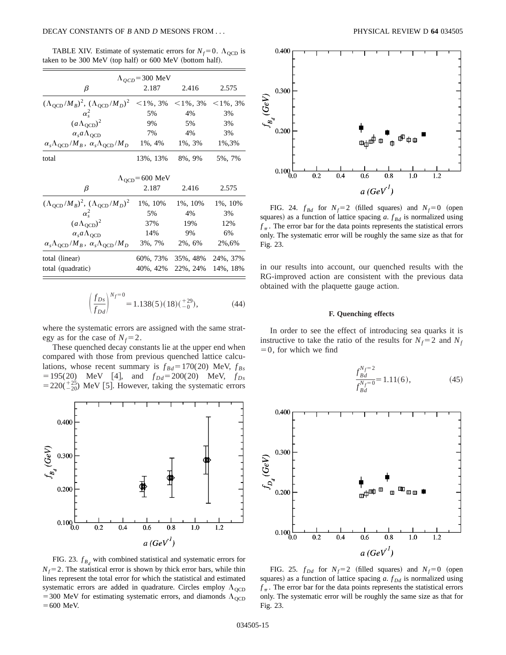TABLE XIV. Estimate of systematic errors for  $N_f = 0$ .  $\Lambda_{\text{QCD}}$  is taken to be 300 MeV (top half) or  $600$  MeV (bottom half).

| $\Lambda_{OCD}$ =300 MeV                                                  |               |                                                     |              |  |
|---------------------------------------------------------------------------|---------------|-----------------------------------------------------|--------------|--|
| β                                                                         | 2.187         | 2.416                                               | 2.575        |  |
| $(\Lambda_{\text{QCD}}/M_B)^2$ , $(\Lambda_{\text{QCD}}/M_D)^2$           |               | $\langle 1\%, 3\% \rangle \langle 1\%, 3\% \rangle$ | $< 1\%$ , 3% |  |
| $\alpha_s^2$                                                              | 5%            | 4%                                                  | 3%           |  |
| $(a\Lambda_{\text{OCD}})^2$                                               | 9%            | 5%                                                  | 3%           |  |
| $\alpha_s a \Lambda_{\text{OCD}}$                                         | 7%            | 4%                                                  | 3%           |  |
| $\alpha_s \Lambda_{\text{QCD}}/M_B$ , $\alpha_s \Lambda_{\text{QCD}}/M_D$ | $1\%$ , $4\%$ | 1%, 3%                                              | 1%,3%        |  |
| total                                                                     | 13%, 13%      | 8%, 9%                                              | 5%, 7%       |  |
| $\Lambda_{\text{OCD}}$ =600 MeV                                           |               |                                                     |              |  |
| β                                                                         | 2.187         | 2.416                                               | 2.575        |  |
| $(\Lambda_{\text{OCD}}/M_B)^2$ , $(\Lambda_{\text{OCD}}/M_D)^2$           | 1%, 10%       | 1%, 10%                                             | 1%, 10%      |  |
| $\alpha_{s}^2$                                                            | 5%            | 4%                                                  | 3%           |  |
| $(a\Lambda_{\text{QCD}})^2$                                               | 37%           | 19%                                                 | 12%          |  |
| $\alpha_s a \Lambda_{\text{QCD}}$                                         | 14%           | 9%                                                  | 6%           |  |
| $\alpha_s \Lambda_{\rm QCD}/M_B$ , $\alpha_s \Lambda_{\rm QCD}/M_D$       | 3%, 7%        | 2%, 6%                                              | 2%,6%        |  |
| total (linear)                                                            | 60%, 73%      | 35%, 48%                                            | 24%, 37%     |  |
| total (quadratic)                                                         | 40%, 42%      | 22%, 24%                                            | 14%, 18%     |  |

$$
\left(\frac{f_{Ds}}{f_{Dd}}\right)^{N_f=0} = 1.138(5)(18)(^{+29}_{-0}),\tag{44}
$$

where the systematic errors are assigned with the same strategy as for the case of  $N_f=2$ .

These quenched decay constants lie at the upper end when compared with those from previous quenched lattice calculations, whose recent summary is  $f_{Bd} = 170(20)$  MeV,  $f_{Bs}$  $=195(20)$  MeV [4], and  $f_{Dd}=200(20)$  MeV,  $f_{Ds}$  $=220(^{+25}_{-20})$  MeV [5]. However, taking the systematic errors



FIG. 23.  $f_{B_d}$  with combined statistical and systematic errors for  $N_f$ =2. The statistical error is shown by thick error bars, while thin lines represent the total error for which the statistical and estimated systematic errors are added in quadrature. Circles employ  $\Lambda_{\text{QCD}}$ = 300 MeV for estimating systematic errors, and diamonds  $\Lambda_{\text{QCD}}$  $=600$  MeV.



FIG. 24.  $f_{Bd}$  for  $N_f = 2$  (filled squares) and  $N_f = 0$  (open squares) as a function of lattice spacing  $a$ .  $f_{Bd}$  is normalized using  $f_{\pi}$ . The error bar for the data points represents the statistical errors only. The systematic error will be roughly the same size as that for Fig. 23.

in our results into account, our quenched results with the RG-improved action are consistent with the previous data obtained with the plaquette gauge action.

## **F. Quenching effects**

In order to see the effect of introducing sea quarks it is instructive to take the ratio of the results for  $N_f = 2$  and  $N_f$  $=0$ , for which we find

$$
\frac{f_{Bd}^{N_f=2}}{f_{Bd}^{N_f=0}} = 1.11(6),\tag{45}
$$



FIG. 25.  $f_{Dd}$  for  $N_f=2$  (filled squares) and  $N_f=0$  (open squares) as a function of lattice spacing  $a$ .  $f_{Dd}$  is normalized using  $f_{\pi}$ . The error bar for the data points represents the statistical errors only. The systematic error will be roughly the same size as that for Fig. 23.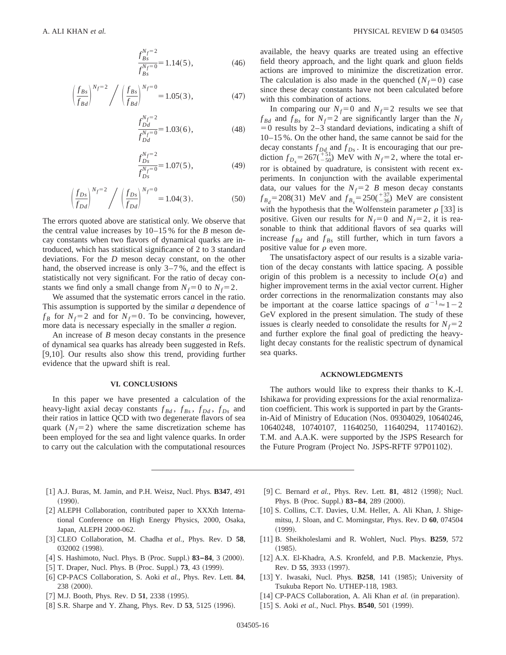$$
\frac{f_{Bs}^{N_f=2}}{f_{Bs}^{N_f=0}} = 1.14(5),\tag{46}
$$

$$
\left(\frac{f_{Bs}}{f_{Bd}}\right)^{N_f=2} / \left(\frac{f_{Bs}}{f_{Bd}}\right)^{N_f=0} = 1.05(3),\tag{47}
$$

$$
\frac{f_{Dd}^{N_f=2}}{f_{Dd}^{N_f=0}} = 1.03(6),\tag{48}
$$

$$
\frac{f_{Ds}^{N_f=2}}{f_{Ds}^{N_f=0}} = 1.07(5),\tag{49}
$$

$$
\left(\frac{f_{Ds}}{f_{Dd}}\right)^{N_f=2} / \left(\frac{f_{Ds}}{f_{Dd}}\right)^{N_f=0} = 1.04(3). \tag{50}
$$

The errors quoted above are statistical only. We observe that the central value increases by 10–15 % for the *B* meson decay constants when two flavors of dynamical quarks are introduced, which has statistical significance of 2 to 3 standard deviations. For the *D* meson decay constant, on the other hand, the observed increase is only 3–7%, and the effect is statistically not very significant. For the ratio of decay constants we find only a small change from  $N_f=0$  to  $N_f=2$ .

We assumed that the systematic errors cancel in the ratio. This assumption is supported by the similar *a* dependence of  $f_B$  for  $N_f$ =2 and for  $N_f$ =0. To be convincing, however, more data is necessary especially in the smaller *a* region.

An increase of *B* meson decay constants in the presence of dynamical sea quarks has already been suggested in Refs. [ $9,10$ ]. Our results also show this trend, providing further evidence that the upward shift is real.

## **VI. CONCLUSIONS**

In this paper we have presented a calculation of the heavy-light axial decay constants  $f_{Bd}$ ,  $f_{Bs}$ ,  $f_{Dd}$ ,  $f_{Ds}$  and their ratios in lattice QCD with two degenerate flavors of sea quark  $(N_f=2)$  where the same discretization scheme has been employed for the sea and light valence quarks. In order to carry out the calculation with the computational resources available, the heavy quarks are treated using an effective field theory approach, and the light quark and gluon fields actions are improved to minimize the discretization error. The calculation is also made in the quenched  $(N_f=0)$  case since these decay constants have not been calculated before with this combination of actions.

In comparing our  $N_f=0$  and  $N_f=2$  results we see that  $f_{Bd}$  and  $f_{Bs}$  for  $N_f=2$  are significantly larger than the  $N_f$  $=0$  results by 2–3 standard deviations, indicating a shift of 10–15 %. On the other hand, the same cannot be said for the decay constants  $f_{Dd}$  and  $f_{Ds}$ . It is encouraging that our prediction  $f_{D_s} = 267(\frac{+51}{-50})$  MeV with  $N_f = 2$ , where the total error is obtained by quadrature, is consistent with recent experiments. In conjunction with the available experimental data, our values for the  $N_f=2$  *B* meson decay constants  $f_{B_d}$  = 208(31) MeV and  $f_{B_s}$  = 250( $^{+37}_{-36}$ ) MeV are consistent with the hypothesis that the Wolfenstein parameter  $\rho$  [33] is positive. Given our results for  $N_f=0$  and  $N_f=2$ , it is reasonable to think that additional flavors of sea quarks will increase  $f_{Bd}$  and  $f_{Bs}$  still further, which in turn favors a positive value for  $\rho$  even more.

The unsatisfactory aspect of our results is a sizable variation of the decay constants with lattice spacing. A possible origin of this problem is a necessity to include  $O(a)$  and higher improvement terms in the axial vector current. Higher order corrections in the renormalization constants may also be important at the coarse lattice spacings of  $a^{-1} \approx 1-2$ GeV explored in the present simulation. The study of these issues is clearly needed to consolidate the results for  $N_f=2$ and further explore the final goal of predicting the heavylight decay constants for the realistic spectrum of dynamical sea quarks.

#### **ACKNOWLEDGMENTS**

The authors would like to express their thanks to K.-I. Ishikawa for providing expressions for the axial renormalization coefficient. This work is supported in part by the Grantsin-Aid of Ministry of Education (Nos. 09304029, 10640246, 10640248, 10740107, 11640250, 11640294, 11740162). T.M. and A.A.K. were supported by the JSPS Research for the Future Program (Project No. JSPS-RFTF 97P01102).

- @1# A.J. Buras, M. Jamin, and P.H. Weisz, Nucl. Phys. **B347**, 491  $(1990).$
- [2] ALEPH Collaboration, contributed paper to XXXth International Conference on High Energy Physics, 2000, Osaka, Japan, ALEPH 2000-062.
- [3] CLEO Collaboration, M. Chadha *et al.*, Phys. Rev. D 58, 032002 (1998).
- [4] S. Hashimoto, Nucl. Phys. B (Proc. Suppl.) **83-84**, 3 (2000).
- $[5]$  T. Draper, Nucl. Phys. B (Proc. Suppl.) **73**, 43  $(1999)$ .
- @6# CP-PACS Collaboration, S. Aoki *et al.*, Phys. Rev. Lett. **84**, 238 (2000).
- $[7]$  M.J. Booth, Phys. Rev. D **51**, 2338  $(1995)$ .
- [8] S.R. Sharpe and Y. Zhang, Phys. Rev. D **53**, 5125 (1996).
- [9] C. Bernard *et al.*, Phys. Rev. Lett. **81**, 4812 (1998); Nucl. Phys. B (Proc. Suppl.) **83–84**, 289 (2000).
- [10] S. Collins, C.T. Davies, U.M. Heller, A. Ali Khan, J. Shigemitsu, J. Sloan, and C. Morningstar, Phys. Rev. D **60**, 074504  $(1999).$
- [11] B. Sheikholeslami and R. Wohlert, Nucl. Phys. **B259**, 572  $(1985).$
- [12] A.X. El-Khadra, A.S. Kronfeld, and P.B. Mackenzie, Phys. Rev. D 55, 3933 (1997).
- [13] Y. Iwasaki, Nucl. Phys. **B258**, 141 (1985); University of Tsukuba Report No. UTHEP-118, 1983.
- [14] CP-PACS Collaboration, A. Ali Khan *et al.* (in preparation).
- [15] S. Aoki *et al.*, Nucl. Phys. **B540**, 501 (1999).